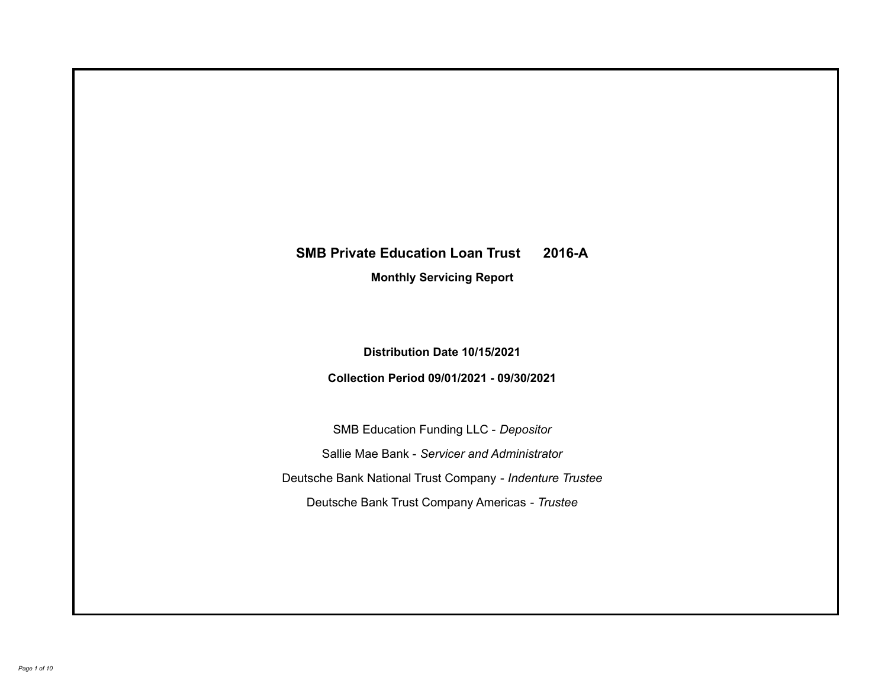# **SMB Private Education Loan Trust 2016-A**

**Monthly Servicing Report**

**Distribution Date 10/15/2021**

**Collection Period 09/01/2021 - 09/30/2021**

SMB Education Funding LLC - *Depositor* Sallie Mae Bank - *Servicer and Administrator* Deutsche Bank National Trust Company - *Indenture Trustee* Deutsche Bank Trust Company Americas - *Trustee*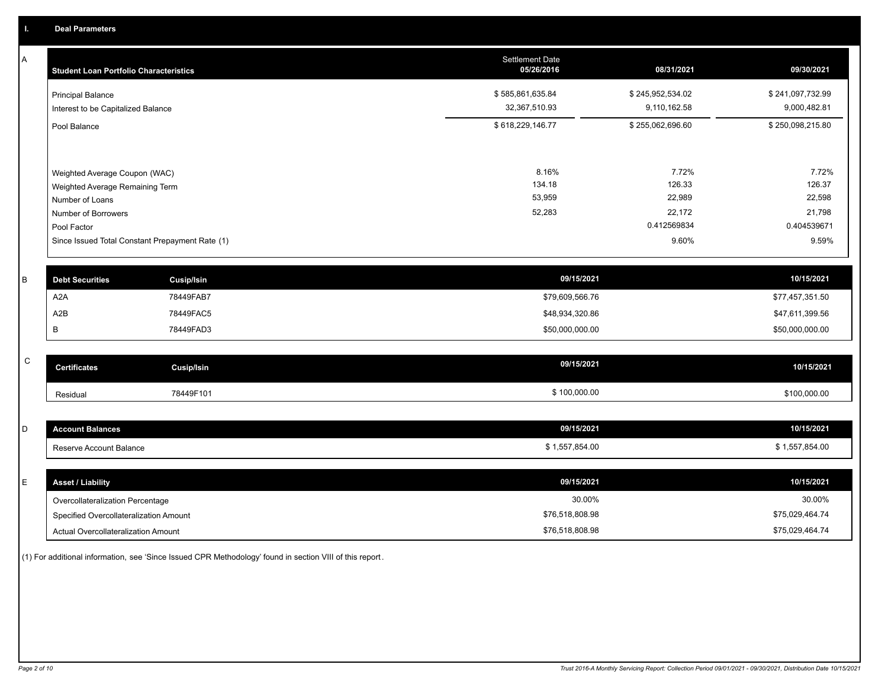A

| A            | <b>Student Loan Portfolio Characteristics</b>   |                   | <b>Settlement Date</b><br>05/26/2016 | 08/31/2021       | 09/30/2021       |
|--------------|-------------------------------------------------|-------------------|--------------------------------------|------------------|------------------|
|              | <b>Principal Balance</b>                        |                   | \$585,861,635.84                     | \$245,952,534.02 | \$241,097,732.99 |
|              | Interest to be Capitalized Balance              |                   | 32,367,510.93                        | 9,110,162.58     | 9,000,482.81     |
|              | Pool Balance                                    |                   | \$618,229,146.77                     | \$255,062,696.60 | \$250,098,215.80 |
|              |                                                 |                   |                                      |                  |                  |
|              | Weighted Average Coupon (WAC)                   |                   | 8.16%                                | 7.72%            | 7.72%            |
|              | Weighted Average Remaining Term                 |                   | 134.18                               | 126.33           | 126.37           |
|              | Number of Loans                                 |                   | 53,959                               | 22,989           | 22,598           |
|              | Number of Borrowers                             |                   | 52,283                               | 22,172           | 21,798           |
|              | Pool Factor                                     |                   |                                      | 0.412569834      | 0.404539671      |
|              | Since Issued Total Constant Prepayment Rate (1) |                   |                                      | 9.60%            | 9.59%            |
|              |                                                 |                   |                                      |                  |                  |
| B            | <b>Debt Securities</b>                          | <b>Cusip/Isin</b> | 09/15/2021                           |                  | 10/15/2021       |
|              | A <sub>2</sub> A                                | 78449FAB7         | \$79,609,566.76                      |                  | \$77,457,351.50  |
|              | A2B                                             | 78449FAC5         | \$48,934,320.86                      |                  | \$47,611,399.56  |
|              | B                                               | 78449FAD3         | \$50,000,000.00                      |                  | \$50,000,000.00  |
|              |                                                 |                   |                                      |                  |                  |
| $\mathsf{C}$ | <b>Certificates</b>                             | Cusip/Isin        | 09/15/2021                           |                  | 10/15/2021       |
|              | Residual                                        | 78449F101         | \$100,000.00                         |                  | \$100,000.00     |
|              |                                                 |                   |                                      |                  |                  |
| D            | <b>Account Balances</b>                         |                   | 09/15/2021                           |                  | 10/15/2021       |
|              | Reserve Account Balance                         |                   | \$1,557,854.00                       |                  | \$1,557,854.00   |
|              |                                                 |                   |                                      |                  |                  |
| E            | <b>Asset / Liability</b>                        |                   | 09/15/2021                           |                  | 10/15/2021       |
|              | Overcollateralization Percentage                |                   | 30.00%                               |                  | 30.00%           |

Specified Overcollateralization Amount

Actual Overcollateralization Amount \$76,518,808.98

(1) For additional information, see 'Since Issued CPR Methodology' found in section VIII of this report .

\$75,029,464.74 \$75,029,464.74

\$76,518,808.98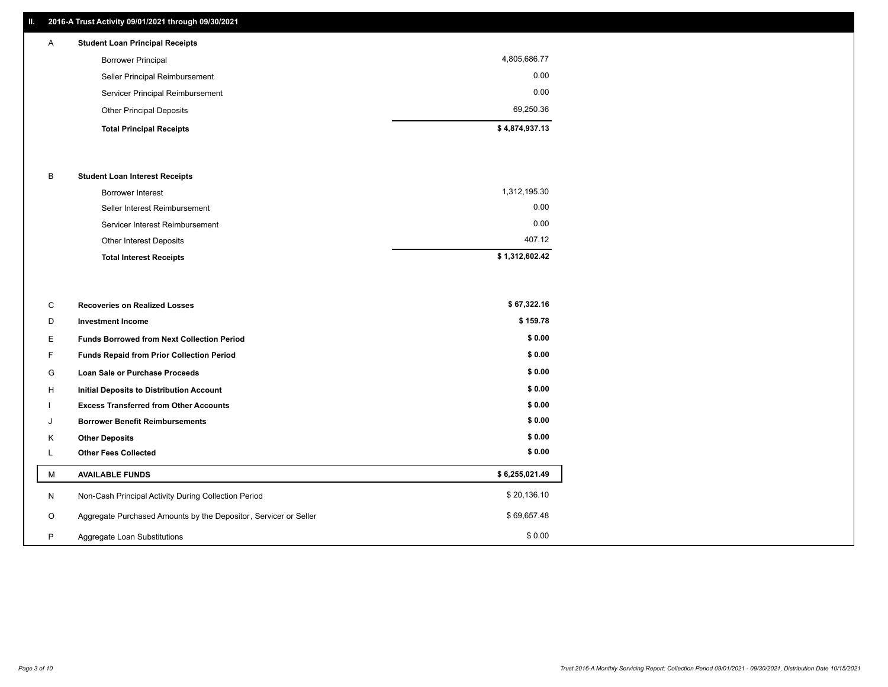## **II. 2016-A Trust Activity 09/01/2021 through 09/30/2021**

## **Total Principal Receipts \$ 4,874,937.13**  Other Principal Deposits 69,250.36 Servicer Principal Reimbursement 0.00 Seller Principal Reimbursement 0.00 Borrower Principal 4,805,686.77 A **Student Loan Principal Receipts**

## B **Student Loan Interest Receipts**

| <b>Total Interest Receipts</b>  | \$1,312,602.42 |
|---------------------------------|----------------|
| Other Interest Deposits         | 407.12         |
| Servicer Interest Reimbursement | 0.00           |
| Seller Interest Reimbursement   | 0.00           |
| Borrower Interest               | 1,312,195.30   |

| C       | <b>Recoveries on Realized Losses</b>                             | \$67,322.16    |
|---------|------------------------------------------------------------------|----------------|
| D       | <b>Investment Income</b>                                         | \$159.78       |
| E.      | <b>Funds Borrowed from Next Collection Period</b>                | \$0.00         |
| F.      | Funds Repaid from Prior Collection Period                        | \$0.00         |
| G       | Loan Sale or Purchase Proceeds                                   | \$0.00         |
| H       | <b>Initial Deposits to Distribution Account</b>                  | \$0.00         |
|         | <b>Excess Transferred from Other Accounts</b>                    | \$0.00         |
| J       | <b>Borrower Benefit Reimbursements</b>                           | \$0.00         |
| K       | <b>Other Deposits</b>                                            | \$0.00         |
|         | <b>Other Fees Collected</b>                                      | \$0.00         |
| м       | <b>AVAILABLE FUNDS</b>                                           | \$6,255,021.49 |
| N       | Non-Cash Principal Activity During Collection Period             | \$20,136.10    |
| $\circ$ | Aggregate Purchased Amounts by the Depositor, Servicer or Seller | \$69,657.48    |
| P       | Aggregate Loan Substitutions                                     | \$0.00         |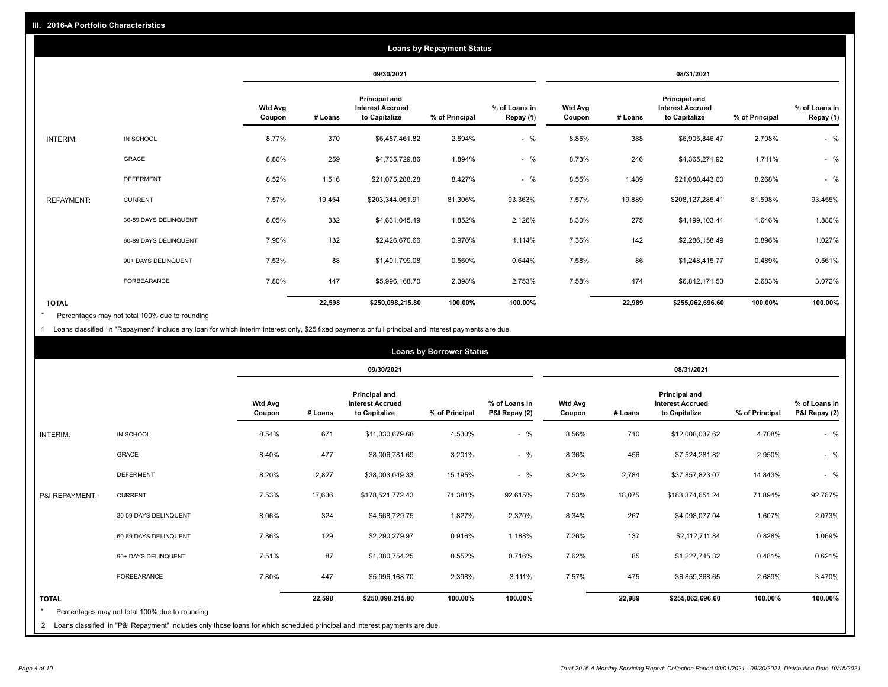|                   |                       |                          |         |                                                           | <b>Loans by Repayment Status</b> |                            |                          |         |                                                           |                |                            |
|-------------------|-----------------------|--------------------------|---------|-----------------------------------------------------------|----------------------------------|----------------------------|--------------------------|---------|-----------------------------------------------------------|----------------|----------------------------|
|                   |                       |                          |         | 09/30/2021                                                |                                  |                            |                          |         | 08/31/2021                                                |                |                            |
|                   |                       | <b>Wtd Avg</b><br>Coupon | # Loans | Principal and<br><b>Interest Accrued</b><br>to Capitalize | % of Principal                   | % of Loans in<br>Repay (1) | <b>Wtd Avg</b><br>Coupon | # Loans | Principal and<br><b>Interest Accrued</b><br>to Capitalize | % of Principal | % of Loans in<br>Repay (1) |
| INTERIM:          | IN SCHOOL             | 8.77%                    | 370     | \$6,487,461.82                                            | 2.594%                           | $-$ %                      | 8.85%                    | 388     | \$6,905,846.47                                            | 2.708%         | $-$ %                      |
|                   | <b>GRACE</b>          | 8.86%                    | 259     | \$4,735,729.86                                            | 1.894%                           | $-$ %                      | 8.73%                    | 246     | \$4,365,271.92                                            | 1.711%         | $-$ %                      |
|                   | <b>DEFERMENT</b>      | 8.52%                    | 1,516   | \$21,075,288.28                                           | 8.427%                           | $-$ %                      | 8.55%                    | 1,489   | \$21,088,443.60                                           | 8.268%         | $-$ %                      |
| <b>REPAYMENT:</b> | <b>CURRENT</b>        | 7.57%                    | 19,454  | \$203,344,051.91                                          | 81.306%                          | 93.363%                    | 7.57%                    | 19,889  | \$208,127,285.41                                          | 81.598%        | 93.455%                    |
|                   | 30-59 DAYS DELINQUENT | 8.05%                    | 332     | \$4,631,045.49                                            | 1.852%                           | 2.126%                     | 8.30%                    | 275     | \$4,199,103.41                                            | 1.646%         | 1.886%                     |
|                   | 60-89 DAYS DELINQUENT | 7.90%                    | 132     | \$2,426,670.66                                            | 0.970%                           | 1.114%                     | 7.36%                    | 142     | \$2,286,158.49                                            | 0.896%         | 1.027%                     |
|                   | 90+ DAYS DELINQUENT   | 7.53%                    | 88      | \$1,401,799.08                                            | 0.560%                           | 0.644%                     | 7.58%                    | 86      | \$1,248,415.77                                            | 0.489%         | 0.561%                     |
|                   | <b>FORBEARANCE</b>    | 7.80%                    | 447     | \$5,996,168.70                                            | 2.398%                           | 2.753%                     | 7.58%                    | 474     | \$6,842,171.53                                            | 2.683%         | 3.072%                     |
| <b>TOTAL</b>      |                       |                          | 22,598  | \$250,098,215.80                                          | 100.00%                          | 100.00%                    |                          | 22,989  | \$255,062,696.60                                          | 100.00%        | 100.00%                    |

Percentages may not total 100% due to rounding \*

1 Loans classified in "Repayment" include any loan for which interim interest only, \$25 fixed payments or full principal and interest payments are due.

|                         |                                                                                                                              |                          | <b>Loans by Borrower Status</b> |                                                                  |                |                                |                          |         |                                                                  |                |                                |
|-------------------------|------------------------------------------------------------------------------------------------------------------------------|--------------------------|---------------------------------|------------------------------------------------------------------|----------------|--------------------------------|--------------------------|---------|------------------------------------------------------------------|----------------|--------------------------------|
|                         |                                                                                                                              |                          |                                 | 09/30/2021                                                       |                |                                |                          |         | 08/31/2021                                                       |                |                                |
|                         |                                                                                                                              | <b>Wtd Avg</b><br>Coupon | # Loans                         | <b>Principal and</b><br><b>Interest Accrued</b><br>to Capitalize | % of Principal | % of Loans in<br>P&I Repay (2) | <b>Wtd Avg</b><br>Coupon | # Loans | <b>Principal and</b><br><b>Interest Accrued</b><br>to Capitalize | % of Principal | % of Loans in<br>P&I Repay (2) |
| INTERIM:                | IN SCHOOL                                                                                                                    | 8.54%                    | 671                             | \$11,330,679.68                                                  | 4.530%         | $-$ %                          | 8.56%                    | 710     | \$12,008,037.62                                                  | 4.708%         | $-$ %                          |
|                         | <b>GRACE</b>                                                                                                                 | 8.40%                    | 477                             | \$8,006,781.69                                                   | 3.201%         | $-$ %                          | 8.36%                    | 456     | \$7,524,281.82                                                   | 2.950%         | $-$ %                          |
|                         | <b>DEFERMENT</b>                                                                                                             | 8.20%                    | 2,827                           | \$38,003,049.33                                                  | 15.195%        | $-$ %                          | 8.24%                    | 2,784   | \$37,857,823.07                                                  | 14.843%        | $-$ %                          |
| P&I REPAYMENT:          | <b>CURRENT</b>                                                                                                               | 7.53%                    | 17,636                          | \$178,521,772.43                                                 | 71.381%        | 92.615%                        | 7.53%                    | 18,075  | \$183,374,651.24                                                 | 71.894%        | 92.767%                        |
|                         | 30-59 DAYS DELINQUENT                                                                                                        | 8.06%                    | 324                             | \$4,568,729.75                                                   | 1.827%         | 2.370%                         | 8.34%                    | 267     | \$4,098,077.04                                                   | 1.607%         | 2.073%                         |
|                         | 60-89 DAYS DELINQUENT                                                                                                        | 7.86%                    | 129                             | \$2,290,279.97                                                   | 0.916%         | 1.188%                         | 7.26%                    | 137     | \$2,112,711.84                                                   | 0.828%         | 1.069%                         |
|                         | 90+ DAYS DELINQUENT                                                                                                          | 7.51%                    | 87                              | \$1,380,754.25                                                   | 0.552%         | 0.716%                         | 7.62%                    | 85      | \$1,227,745.32                                                   | 0.481%         | 0.621%                         |
|                         | FORBEARANCE                                                                                                                  | 7.80%                    | 447                             | \$5,996,168.70                                                   | 2.398%         | 3.111%                         | 7.57%                    | 475     | \$6,859,368.65                                                   | 2.689%         | 3.470%                         |
| <b>TOTAL</b><br>$\star$ | Percentages may not total 100% due to rounding                                                                               |                          | 22,598                          | \$250,098,215.80                                                 | 100.00%        | 100.00%                        |                          | 22,989  | \$255,062,696.60                                                 | 100.00%        | 100.00%                        |
|                         | 2 Loans classified in "P&I Repayment" includes only those loans for which scheduled principal and interest payments are due. |                          |                                 |                                                                  |                |                                |                          |         |                                                                  |                |                                |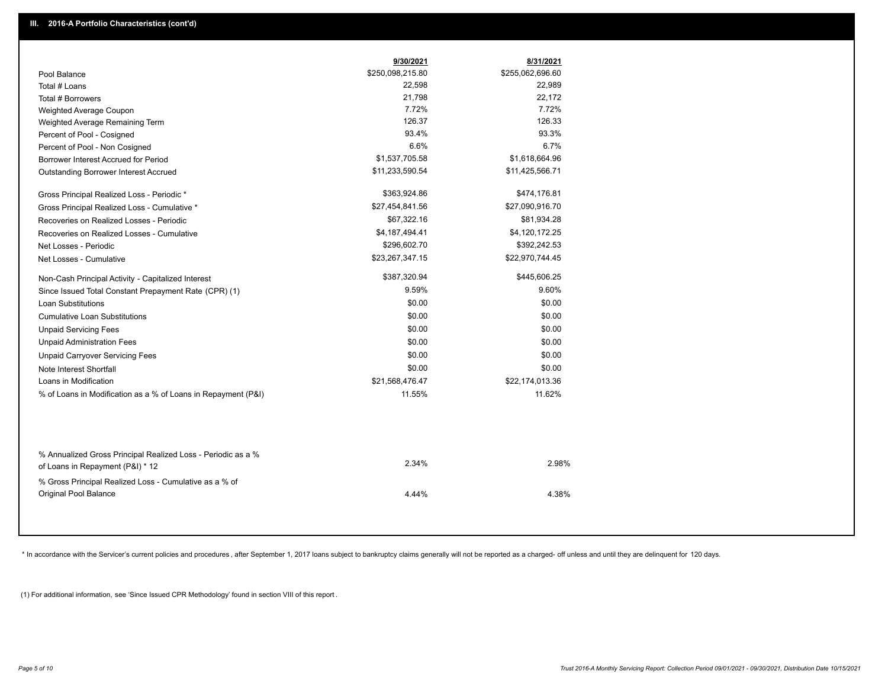|                                                                                                  | 9/30/2021        | 8/31/2021        |
|--------------------------------------------------------------------------------------------------|------------------|------------------|
| Pool Balance                                                                                     | \$250,098,215.80 | \$255,062,696.60 |
| Total # Loans                                                                                    | 22,598           | 22,989           |
| Total # Borrowers                                                                                | 21,798           | 22,172           |
| Weighted Average Coupon                                                                          | 7.72%            | 7.72%            |
| Weighted Average Remaining Term                                                                  | 126.37           | 126.33           |
| Percent of Pool - Cosigned                                                                       | 93.4%            | 93.3%            |
| Percent of Pool - Non Cosigned                                                                   | 6.6%             | 6.7%             |
| Borrower Interest Accrued for Period                                                             | \$1,537,705.58   | \$1,618,664.96   |
| Outstanding Borrower Interest Accrued                                                            | \$11,233,590.54  | \$11,425,566.71  |
| Gross Principal Realized Loss - Periodic *                                                       | \$363,924.86     | \$474,176.81     |
| Gross Principal Realized Loss - Cumulative *                                                     | \$27,454,841.56  | \$27,090,916.70  |
| Recoveries on Realized Losses - Periodic                                                         | \$67,322.16      | \$81,934.28      |
| Recoveries on Realized Losses - Cumulative                                                       | \$4,187,494.41   | \$4,120,172.25   |
| Net Losses - Periodic                                                                            | \$296,602.70     | \$392,242.53     |
| Net Losses - Cumulative                                                                          | \$23,267,347.15  | \$22,970,744.45  |
| Non-Cash Principal Activity - Capitalized Interest                                               | \$387,320.94     | \$445,606.25     |
| Since Issued Total Constant Prepayment Rate (CPR) (1)                                            | 9.59%            | 9.60%            |
| <b>Loan Substitutions</b>                                                                        | \$0.00           | \$0.00           |
| <b>Cumulative Loan Substitutions</b>                                                             | \$0.00           | \$0.00           |
| <b>Unpaid Servicing Fees</b>                                                                     | \$0.00           | \$0.00           |
| <b>Unpaid Administration Fees</b>                                                                | \$0.00           | \$0.00           |
| <b>Unpaid Carryover Servicing Fees</b>                                                           | \$0.00           | \$0.00           |
| Note Interest Shortfall                                                                          | \$0.00           | \$0.00           |
| Loans in Modification                                                                            | \$21,568,476.47  | \$22,174,013.36  |
| % of Loans in Modification as a % of Loans in Repayment (P&I)                                    | 11.55%           | 11.62%           |
|                                                                                                  |                  |                  |
| % Annualized Gross Principal Realized Loss - Periodic as a %<br>of Loans in Repayment (P&I) * 12 | 2.34%            | 2.98%            |
| % Gross Principal Realized Loss - Cumulative as a % of<br><b>Original Pool Balance</b>           | 4.44%            | 4.38%            |

\* In accordance with the Servicer's current policies and procedures, after September 1, 2017 loans subject to bankruptcy claims generally will not be reported as a charged- off unless and until they are delinquent for 120

(1) For additional information, see 'Since Issued CPR Methodology' found in section VIII of this report .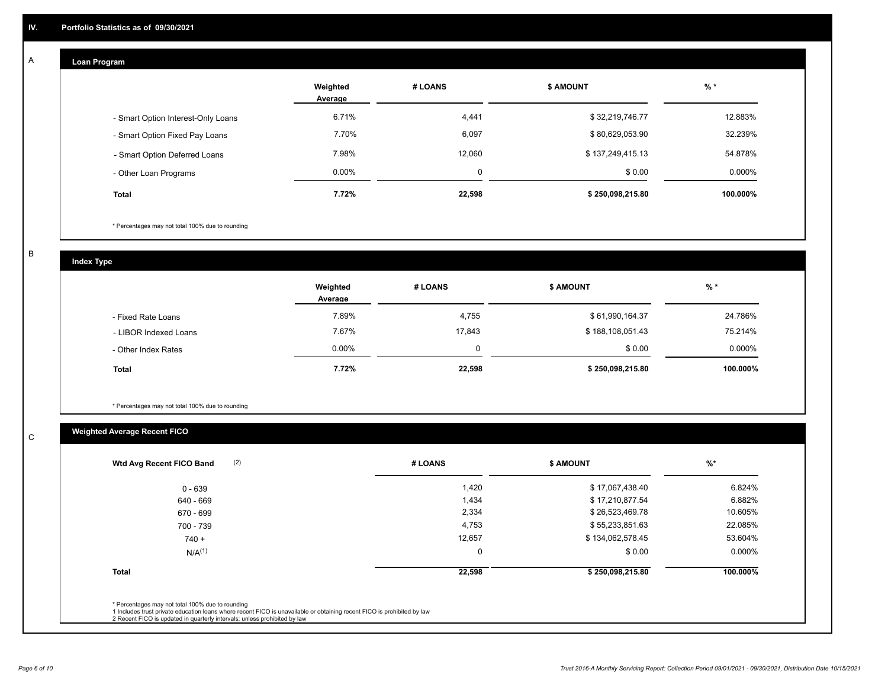#### **Loan Program**  A

|                                    | Weighted<br>Average | # LOANS  | <b>\$ AMOUNT</b> | $%$ *     |
|------------------------------------|---------------------|----------|------------------|-----------|
| - Smart Option Interest-Only Loans | 6.71%               | 4,441    | \$32,219,746.77  | 12.883%   |
| - Smart Option Fixed Pay Loans     | 7.70%               | 6,097    | \$80,629,053.90  | 32.239%   |
| - Smart Option Deferred Loans      | 7.98%               | 12.060   | \$137,249,415.13 | 54.878%   |
| - Other Loan Programs              | $0.00\%$            | $\Omega$ | \$0.00           | $0.000\%$ |
| Total                              | 7.72%               | 22,598   | \$250,098,215.80 | 100.000%  |

\* Percentages may not total 100% due to rounding

B

C

**Index Type**

|                       | Weighted<br>Average | # LOANS | \$ AMOUNT        | % *       |
|-----------------------|---------------------|---------|------------------|-----------|
| - Fixed Rate Loans    | 7.89%               | 4,755   | \$61,990,164.37  | 24.786%   |
| - LIBOR Indexed Loans | 7.67%               | 17.843  | \$188,108,051.43 | 75.214%   |
| - Other Index Rates   | $0.00\%$            | 0       | \$0.00           | $0.000\%$ |
| <b>Total</b>          | 7.72%               | 22,598  | \$250,098,215.80 | 100.000%  |

\* Percentages may not total 100% due to rounding

## **Weighted Average Recent FICO**

| (2)<br>Wtd Avg Recent FICO Band | # LOANS | <b>\$ AMOUNT</b> | $\frac{9}{6}$ * |
|---------------------------------|---------|------------------|-----------------|
| $0 - 639$                       | 1,420   | \$17,067,438.40  | 6.824%          |
| 640 - 669                       | 1,434   | \$17,210,877.54  | 6.882%          |
| 670 - 699                       | 2,334   | \$26,523,469.78  | 10.605%         |
| 700 - 739                       | 4,753   | \$55,233,851.63  | 22.085%         |
| $740 +$                         | 12,657  | \$134,062,578.45 | 53.604%         |
| N/A <sup>(1)</sup>              | 0       | \$0.00           | 0.000%          |
| <b>Total</b>                    | 22,598  | \$250,098,215.80 | 100.000%        |
|                                 |         |                  |                 |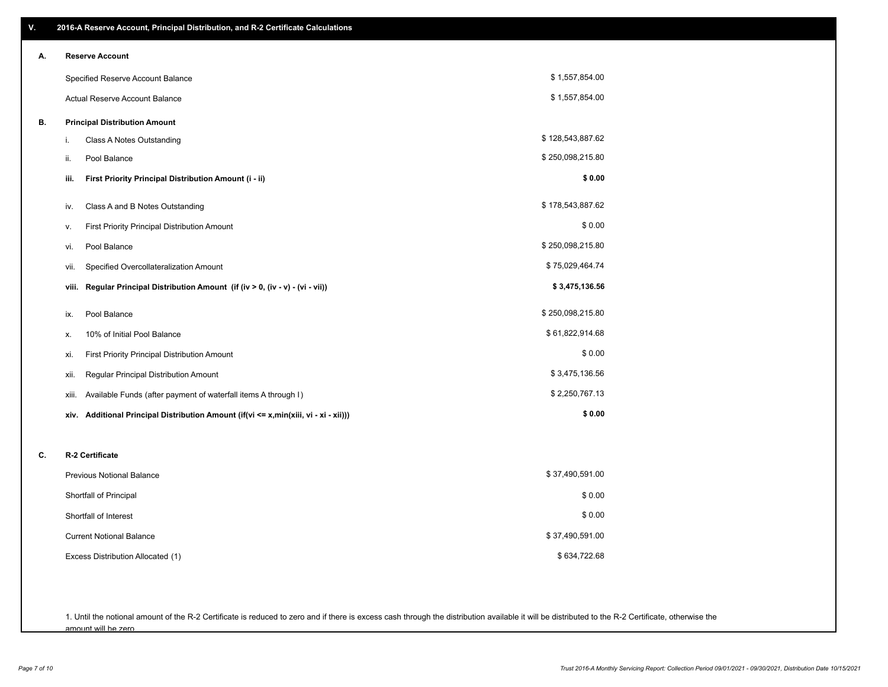| V. | 2016-A Reserve Account, Principal Distribution, and R-2 Certificate Calculations     |                  |
|----|--------------------------------------------------------------------------------------|------------------|
| А. | <b>Reserve Account</b>                                                               |                  |
|    | Specified Reserve Account Balance                                                    | \$1,557,854.00   |
|    | Actual Reserve Account Balance                                                       | \$1,557,854.00   |
| В. | <b>Principal Distribution Amount</b>                                                 |                  |
|    | Class A Notes Outstanding<br>i.                                                      | \$128,543,887.62 |
|    | Pool Balance<br>ii.                                                                  | \$250,098,215.80 |
|    | First Priority Principal Distribution Amount (i - ii)<br>iii.                        | \$0.00           |
|    | Class A and B Notes Outstanding<br>iv.                                               | \$178,543,887.62 |
|    | First Priority Principal Distribution Amount<br>ν.                                   | \$0.00           |
|    | Pool Balance<br>vi.                                                                  | \$250,098,215.80 |
|    | Specified Overcollateralization Amount<br>vii.                                       | \$75,029,464.74  |
|    | Regular Principal Distribution Amount (if (iv > 0, (iv - v) - (vi - vii))<br>viii.   | \$3,475,136.56   |
|    | Pool Balance<br>ix.                                                                  | \$250,098,215.80 |
|    | 10% of Initial Pool Balance<br>х.                                                    | \$61,822,914.68  |
|    | First Priority Principal Distribution Amount<br>xi.                                  | \$0.00           |
|    | Regular Principal Distribution Amount<br>xii.                                        | \$3,475,136.56   |
|    | Available Funds (after payment of waterfall items A through I)<br>xiii.              | \$2,250,767.13   |
|    | xiv. Additional Principal Distribution Amount (if(vi <= x,min(xiii, vi - xi - xii))) | \$0.00           |
| C. | R-2 Certificate                                                                      |                  |
|    | <b>Previous Notional Balance</b>                                                     | \$37,490,591.00  |
|    | Shortfall of Principal                                                               | \$0.00           |
|    | Shortfall of Interest                                                                | \$0.00           |
|    | <b>Current Notional Balance</b>                                                      | \$37,490,591.00  |
|    | Excess Distribution Allocated (1)                                                    | \$634,722.68     |
|    |                                                                                      |                  |
|    |                                                                                      |                  |

1. Until the notional amount of the R-2 Certificate is reduced to zero and if there is excess cash through the distribution available it will be distributed to the R-2 Certificate, otherwise the amount will be zero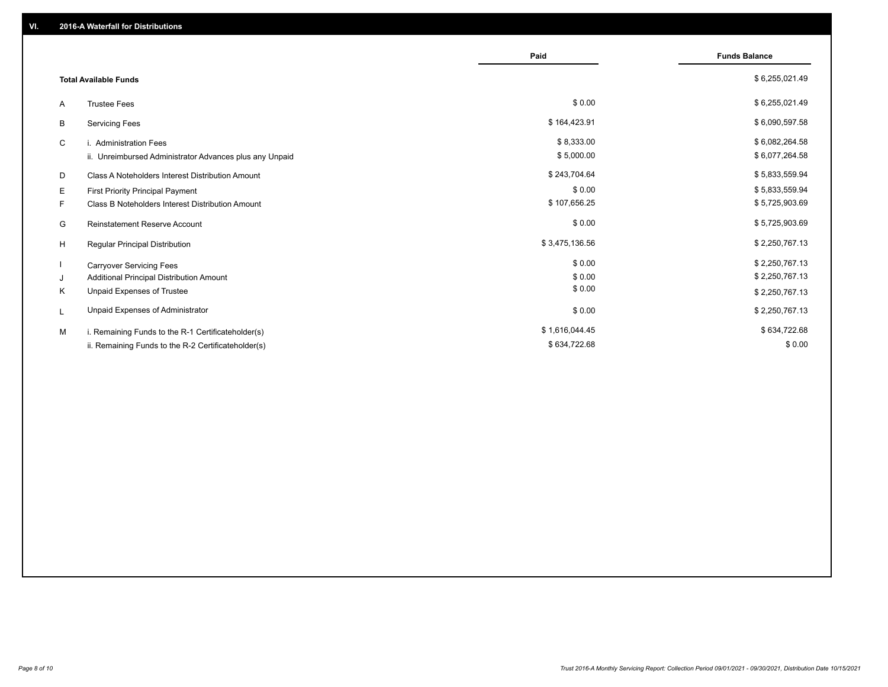|                                                         | Paid           | <b>Funds Balance</b> |
|---------------------------------------------------------|----------------|----------------------|
| <b>Total Available Funds</b>                            |                | \$6,255,021.49       |
| <b>Trustee Fees</b><br>A                                | \$0.00         | \$6,255,021.49       |
| В<br><b>Servicing Fees</b>                              | \$164,423.91   | \$6,090,597.58       |
| C<br>i. Administration Fees                             | \$8,333.00     | \$6,082,264.58       |
| ii. Unreimbursed Administrator Advances plus any Unpaid | \$5,000.00     | \$6,077,264.58       |
| D<br>Class A Noteholders Interest Distribution Amount   | \$243,704.64   | \$5,833,559.94       |
| Е<br>First Priority Principal Payment                   | \$0.00         | \$5,833,559.94       |
| Class B Noteholders Interest Distribution Amount<br>F.  | \$107,656.25   | \$5,725,903.69       |
| G<br><b>Reinstatement Reserve Account</b>               | \$0.00         | \$5,725,903.69       |
| H<br>Regular Principal Distribution                     | \$3,475,136.56 | \$2,250,767.13       |
| <b>Carryover Servicing Fees</b>                         | \$0.00         | \$2,250,767.13       |
| Additional Principal Distribution Amount<br>J           | \$0.00         | \$2,250,767.13       |
| Κ<br>Unpaid Expenses of Trustee                         | \$0.00         | \$2,250,767.13       |
| Unpaid Expenses of Administrator<br>L                   | \$0.00         | \$2,250,767.13       |
| M<br>i. Remaining Funds to the R-1 Certificateholder(s) | \$1,616,044.45 | \$634,722.68         |
| ii. Remaining Funds to the R-2 Certificateholder(s)     | \$634,722.68   | \$0.00               |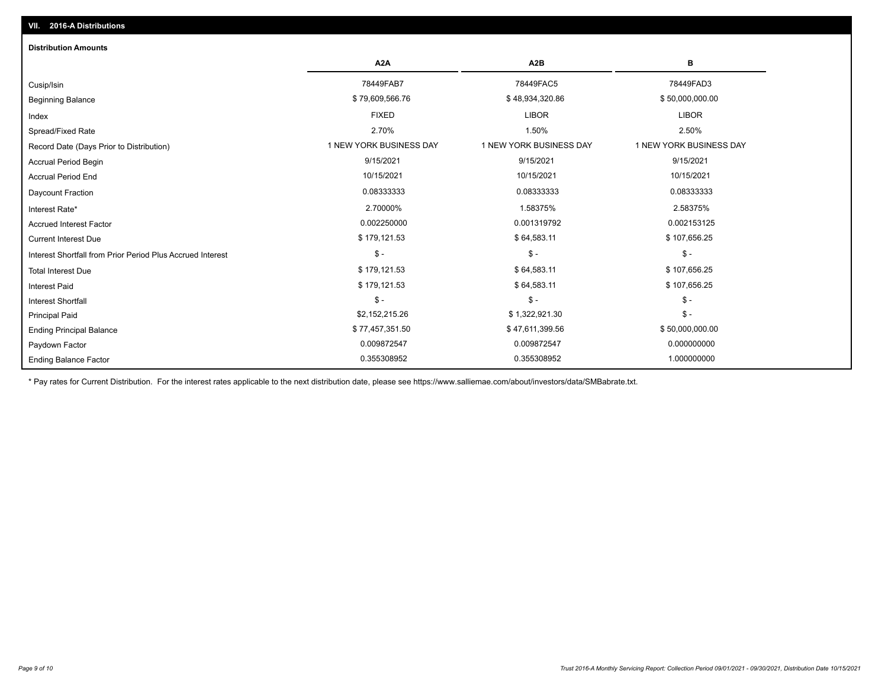| <b>Distribution Amounts</b>                                |                         |                         |                         |
|------------------------------------------------------------|-------------------------|-------------------------|-------------------------|
|                                                            | A <sub>2</sub> A        | A2B                     | в                       |
| Cusip/Isin                                                 | 78449FAB7               | 78449FAC5               | 78449FAD3               |
| <b>Beginning Balance</b>                                   | \$79,609,566.76         | \$48,934,320.86         | \$50,000,000.00         |
| Index                                                      | <b>FIXED</b>            | <b>LIBOR</b>            | <b>LIBOR</b>            |
| Spread/Fixed Rate                                          | 2.70%                   | 1.50%                   | 2.50%                   |
| Record Date (Days Prior to Distribution)                   | 1 NEW YORK BUSINESS DAY | 1 NEW YORK BUSINESS DAY | 1 NEW YORK BUSINESS DAY |
| Accrual Period Begin                                       | 9/15/2021               | 9/15/2021               | 9/15/2021               |
| <b>Accrual Period End</b>                                  | 10/15/2021              | 10/15/2021              | 10/15/2021              |
| Daycount Fraction                                          | 0.08333333              | 0.08333333              | 0.08333333              |
| Interest Rate*                                             | 2.70000%                | 1.58375%                | 2.58375%                |
| <b>Accrued Interest Factor</b>                             | 0.002250000             | 0.001319792             | 0.002153125             |
| <b>Current Interest Due</b>                                | \$179,121.53            | \$64,583.11             | \$107,656.25            |
| Interest Shortfall from Prior Period Plus Accrued Interest | $\mathsf{\$}$ -         | $$ -$                   | $\mathsf{\$}$ -         |
| <b>Total Interest Due</b>                                  | \$179,121.53            | \$64,583.11             | \$107,656.25            |
| <b>Interest Paid</b>                                       | \$179,121.53            | \$64,583.11             | \$107,656.25            |
| Interest Shortfall                                         | $$ -$                   | $\mathsf{\$}$ -         | $\mathsf{\$}$ -         |
| <b>Principal Paid</b>                                      | \$2,152,215.26          | \$1,322,921.30          | $\mathsf{\$}$ -         |
| <b>Ending Principal Balance</b>                            | \$77,457,351.50         | \$47,611,399.56         | \$50,000,000.00         |
| Paydown Factor                                             | 0.009872547             | 0.009872547             | 0.000000000             |
| <b>Ending Balance Factor</b>                               | 0.355308952             | 0.355308952             | 1.000000000             |

\* Pay rates for Current Distribution. For the interest rates applicable to the next distribution date, please see https://www.salliemae.com/about/investors/data/SMBabrate.txt.

**VII. 2016-A Distributions**